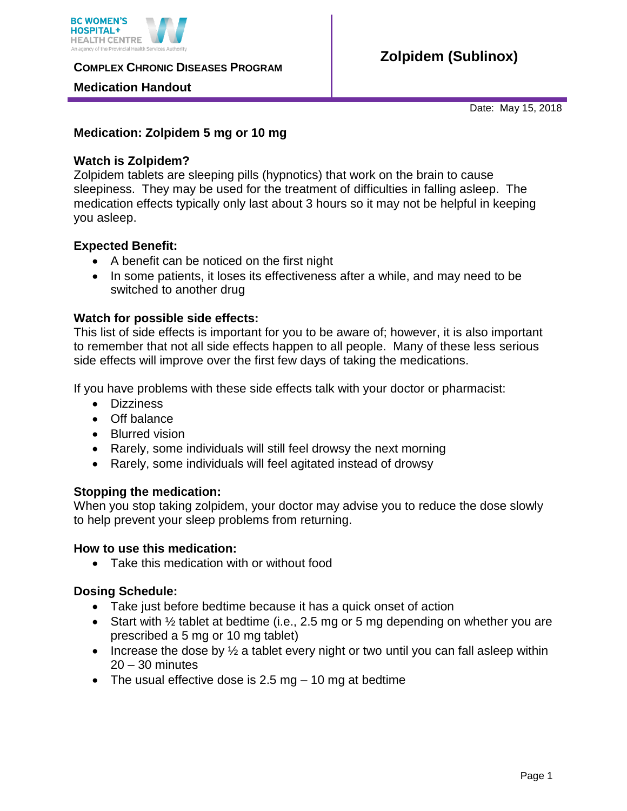

**COMPLEX CHRONIC DISEASES PROGRAM** 

### **Medication Handout**

Date: May 15, 2018

## **Medication: Zolpidem 5 mg or 10 mg**

### **Watch is Zolpidem?**

Zolpidem tablets are sleeping pills (hypnotics) that work on the brain to cause sleepiness. They may be used for the treatment of difficulties in falling asleep. The medication effects typically only last about 3 hours so it may not be helpful in keeping you asleep.

### **Expected Benefit:**

- A benefit can be noticed on the first night
- In some patients, it loses its effectiveness after a while, and may need to be switched to another drug

### **Watch for possible side effects:**

This list of side effects is important for you to be aware of; however, it is also important to remember that not all side effects happen to all people. Many of these less serious side effects will improve over the first few days of taking the medications.

If you have problems with these side effects talk with your doctor or pharmacist:

- **•** Dizziness
- Off balance
- Blurred vision
- Rarely, some individuals will still feel drowsy the next morning
- Rarely, some individuals will feel agitated instead of drowsy

#### **Stopping the medication:**

When you stop taking zolpidem, your doctor may advise you to reduce the dose slowly to help prevent your sleep problems from returning.

#### **How to use this medication:**

• Take this medication with or without food

# **Dosing Schedule:**

- Take just before bedtime because it has a quick onset of action
- Start with  $\frac{1}{2}$  tablet at bedtime (i.e., 2.5 mg or 5 mg depending on whether you are prescribed a 5 mg or 10 mg tablet)
- Increase the dose by  $\frac{1}{2}$  a tablet every night or two until you can fall asleep within 20 – 30 minutes
- The usual effective dose is 2.5 mg 10 mg at bedtime